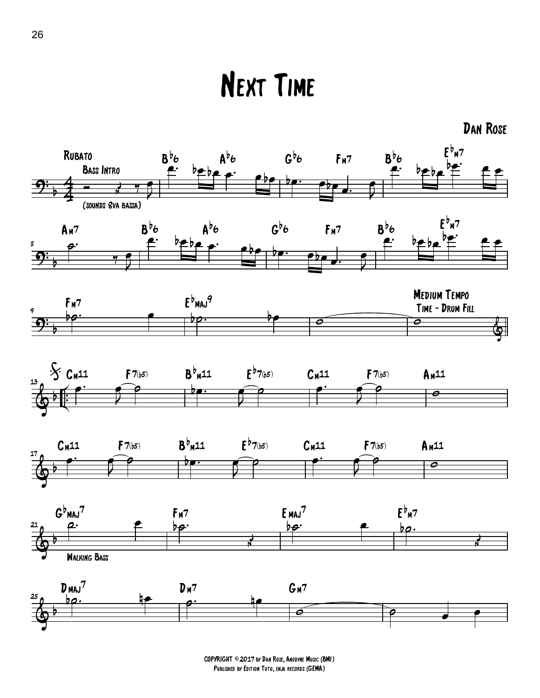## Next Time



COPYRIGHT ©2017 by Dan Rose, Anodyne Music (BMI) Published by Edition Tutu, enja records (GEMA)